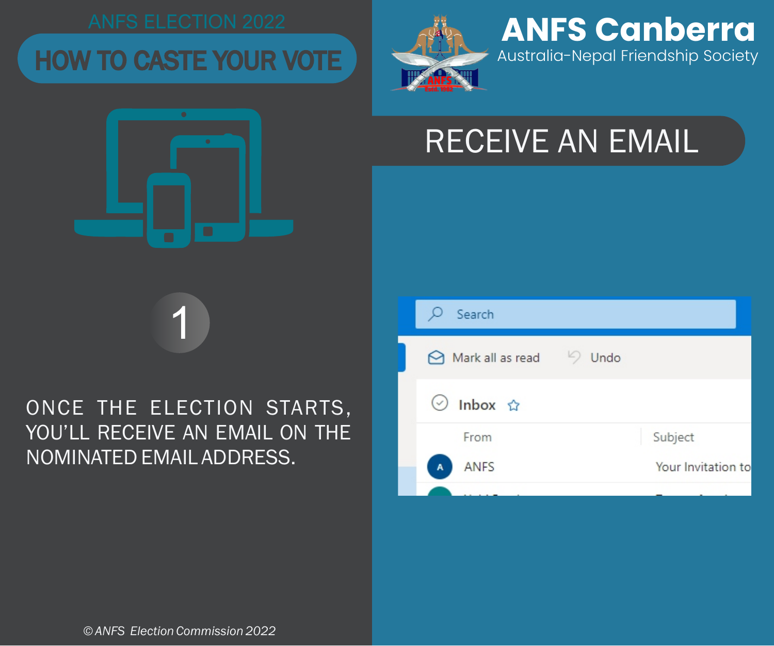## HOW TO CASTE YOUR VOTE

 $\bullet$ 



**ANFS Canberra** Australia-Nepal Friendship Society

# RECEIVE AN EMAIL



1

|  | Search                                 |      |                    |
|--|----------------------------------------|------|--------------------|
|  | $\Theta$ Mark all as read $\heartsuit$ | Undo |                    |
|  | ◯ Inbox ☆                              |      |                    |
|  | From                                   |      | Subject            |
|  | <b>ANFS</b><br>A                       |      | Your Invitation to |
|  |                                        |      |                    |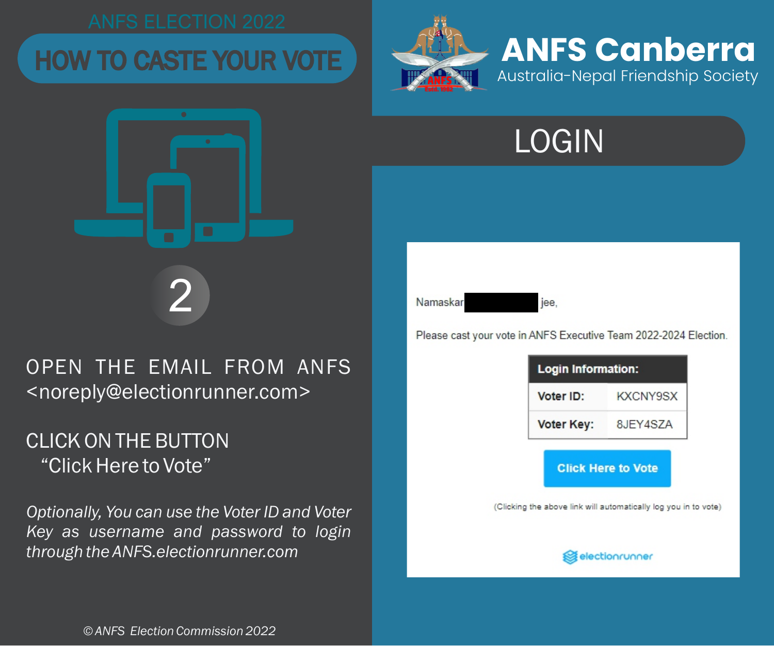





jee.

Please cast your vote in ANFS Executive Team 2022-2024 Election.

| <b>Login Information:</b> |          |  |
|---------------------------|----------|--|
| Voter ID:                 | KXCNY9SX |  |
| Voter Key:                | 8JEY4SZA |  |

**Click Here to Vote** 

(Clicking the above link will automatically log you in to vote)



OPEN THE EMAIL FROM ANFS <noreply@electionrunner.com>

2

## "Click Here to Vote" CLICK ON THE BUTTON

*Optionally, You can use the Voter ID and Voter Key as username and password to login through the ANFS.electionrunner.com* 

*© ANFS Election Commission 2022*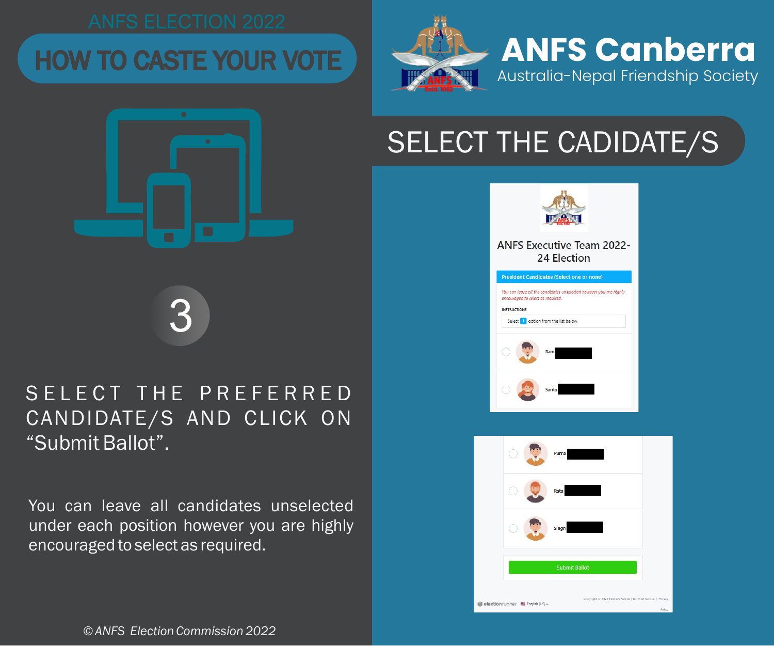



3

## SELECT THE PREFERRED CANDIDATE/S AND CLICK ON "Submit Ballot".

You can leave all candidates unselected under each position however you are highly encouraged to select as required.

## **ANFS Executive Team 2022-**24 Election **President Candidates (Select one or none)** You can leave all the candidates unselected however you are highly encouraged to select as required. INCTRUCTIONS Select 1 option from the list below.

SELECT THE CADIDATE/S

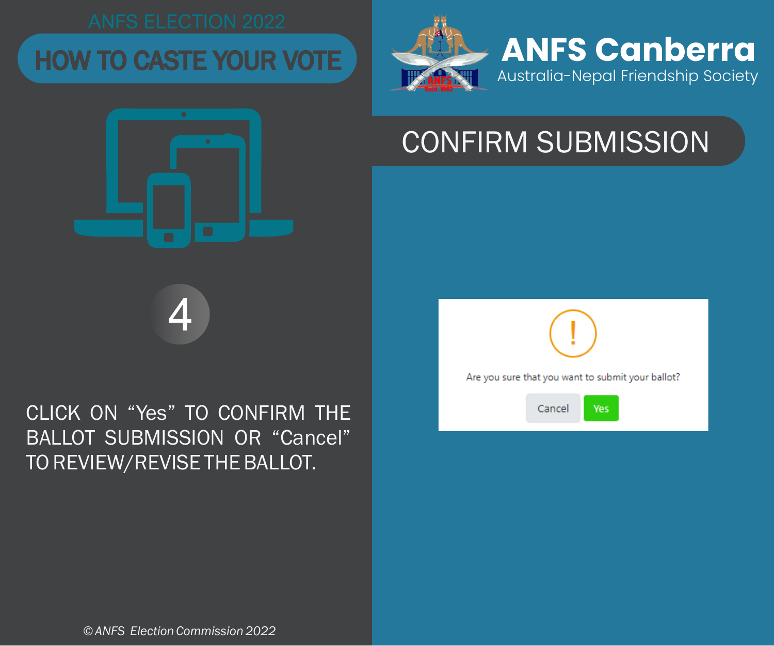# HOW TO CASTE YOUR VOTE **ANFS Canberra**

 $\bullet$ 



# CONFIRM SUBMISSION

4

## CLICK ON "Yes" TO CONFIRM THE BALLOT SUBMISSION OR "Cancel" TO REVIEW/REVISE THE BALLOT.



*© ANFS Election Commission 2022*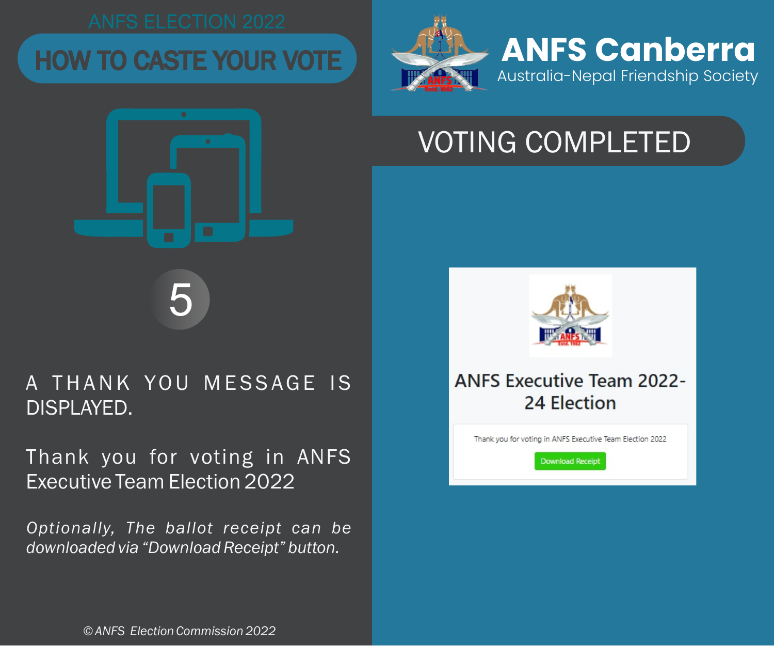



## A THANK YOU MESSAGE IS DISPLAYED.

5

Thank you for voting in ANFS Executive Team Election 2022

*Optionally, The ballot receipt can be downloaded via "Download Receipt" button.*



VOTING COMPLETED

## **ANFS Executive Team 2022-**24 Election

Thank you for voting in ANFS Executive Team Election 2022

**Download Receipt** 

*© ANFS Election Commission 2022*